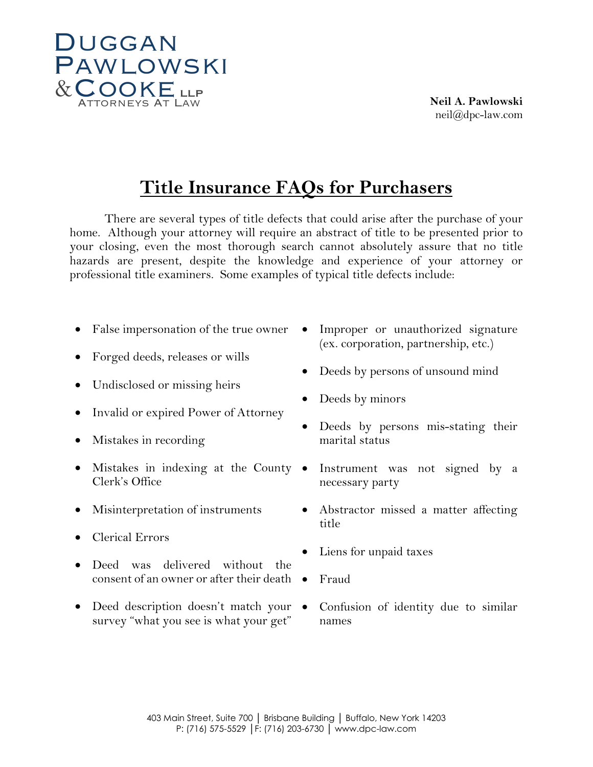

## **DUGGAN** & COOKE LLP ATTORNEYS AT LAW Pawlowski

## **Title Insurance FAQs for Purchasers**

There are several types of title defects that could arise after the purchase of your home. Although your attorney will require an abstract of title to be presented prior to your closing, even the most thorough search cannot absolutely assure that no title hazards are present, despite the knowledge and experience of your attorney or professional title examiners. Some examples of typical title defects include:

- False impersonation of the true owner
- Forged deeds, releases or wills
- Undisclosed or missing heirs
- Invalid or expired Power of Attorney
- Mistakes in recording
- Mistakes in indexing at the County Clerk's Office
- Misinterpretation of instruments
- Clerical Errors
- Deed was delivered without the consent of an owner or after their death • Fraud
- Deed description doesn't match your survey "what you see is what your get"
- Improper or unauthorized signature (ex. corporation, partnership, etc.)
- Deeds by persons of unsound mind
- Deeds by minors
- Deeds by persons mis-stating their marital status
- Instrument was not signed by a necessary party
- Abstractor missed a matter affecting title
- Liens for unpaid taxes
- 
- Confusion of identity due to similar names